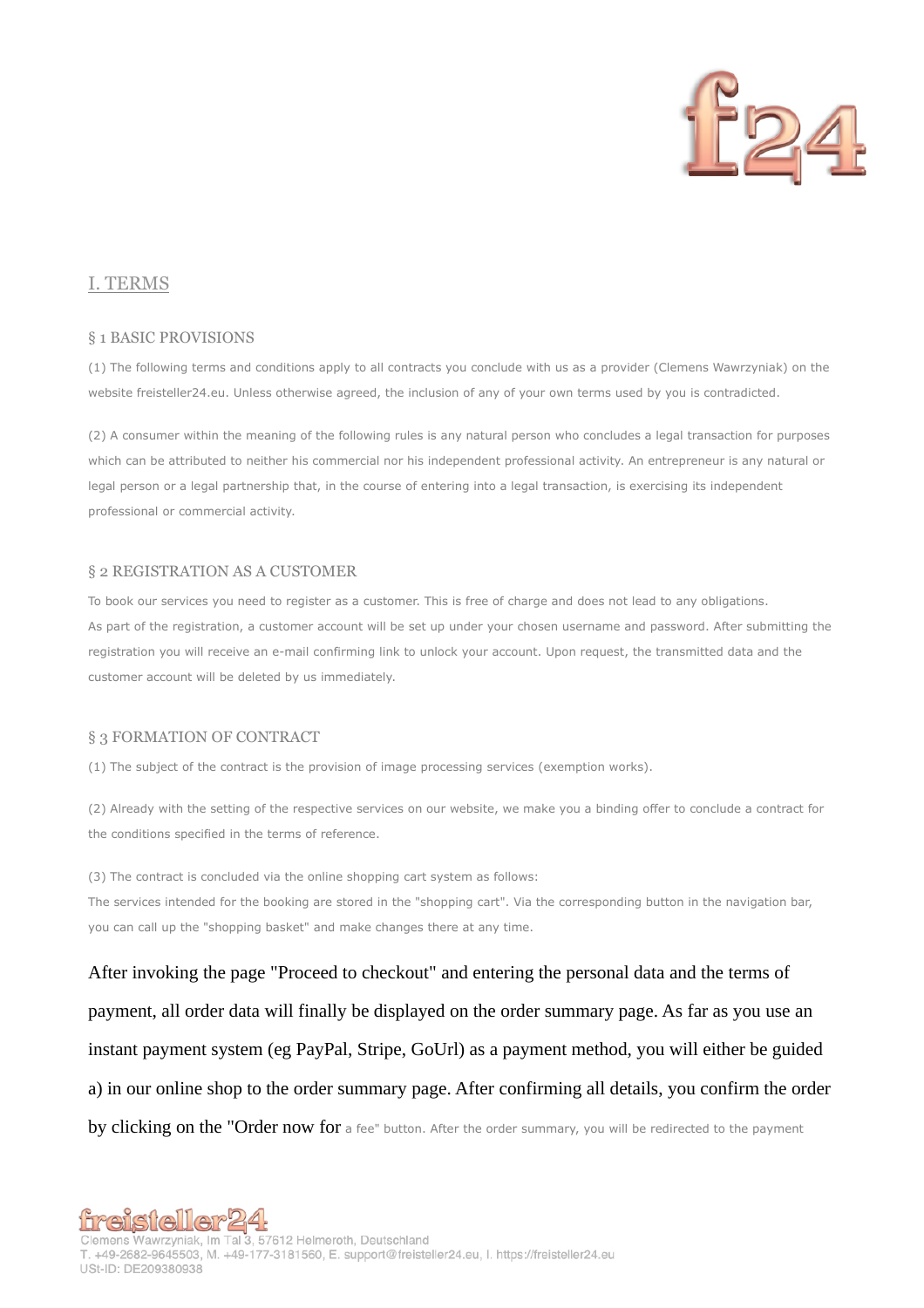

# I. TERMS

#### § 1 BASIC PROVISIONS

(1) The following terms and conditions apply to all contracts you conclude with us as a provider (Clemens Wawrzyniak) on the website freisteller24.eu. Unless otherwise agreed, the inclusion of any of your own terms used by you is contradicted.

(2) A consumer within the meaning of the following rules is any natural person who concludes a legal transaction for purposes which can be attributed to neither his commercial nor his independent professional activity. An entrepreneur is any natural or legal person or a legal partnership that, in the course of entering into a legal transaction, is exercising its independent professional or commercial activity.

### § 2 REGISTRATION AS A CUSTOMER

To book our services you need to register as a customer. This is free of charge and does not lead to any obligations. As part of the registration, a customer account will be set up under your chosen username and password. After submitting the registration you will receive an e-mail confirming link to unlock your account. Upon request, the transmitted data and the customer account will be deleted by us immediately.

#### § 3 FORMATION OF CONTRACT

(1) The subject of the contract is the provision of image processing services (exemption works).

(2) Already with the setting of the respective services on our website, we make you a binding offer to conclude a contract for the conditions specified in the terms of reference.

(3) The contract is concluded via the online shopping cart system as follows: The services intended for the booking are stored in the "shopping cart". Via the corresponding button in the navigation bar, you can call up the "shopping basket" and make changes there at any time.

After invoking the page "Proceed to checkout" and entering the personal data and the terms of payment, all order data will finally be displayed on the order summary page. As far as you use an instant payment system (eg PayPal, Stripe, GoUrl) as a payment method, you will either be guided a) in our online shop to the order summary page. After confirming all details, you confirm the order by clicking on the "Order now for a fee" button. After the order summary, you will be redirected to the payment

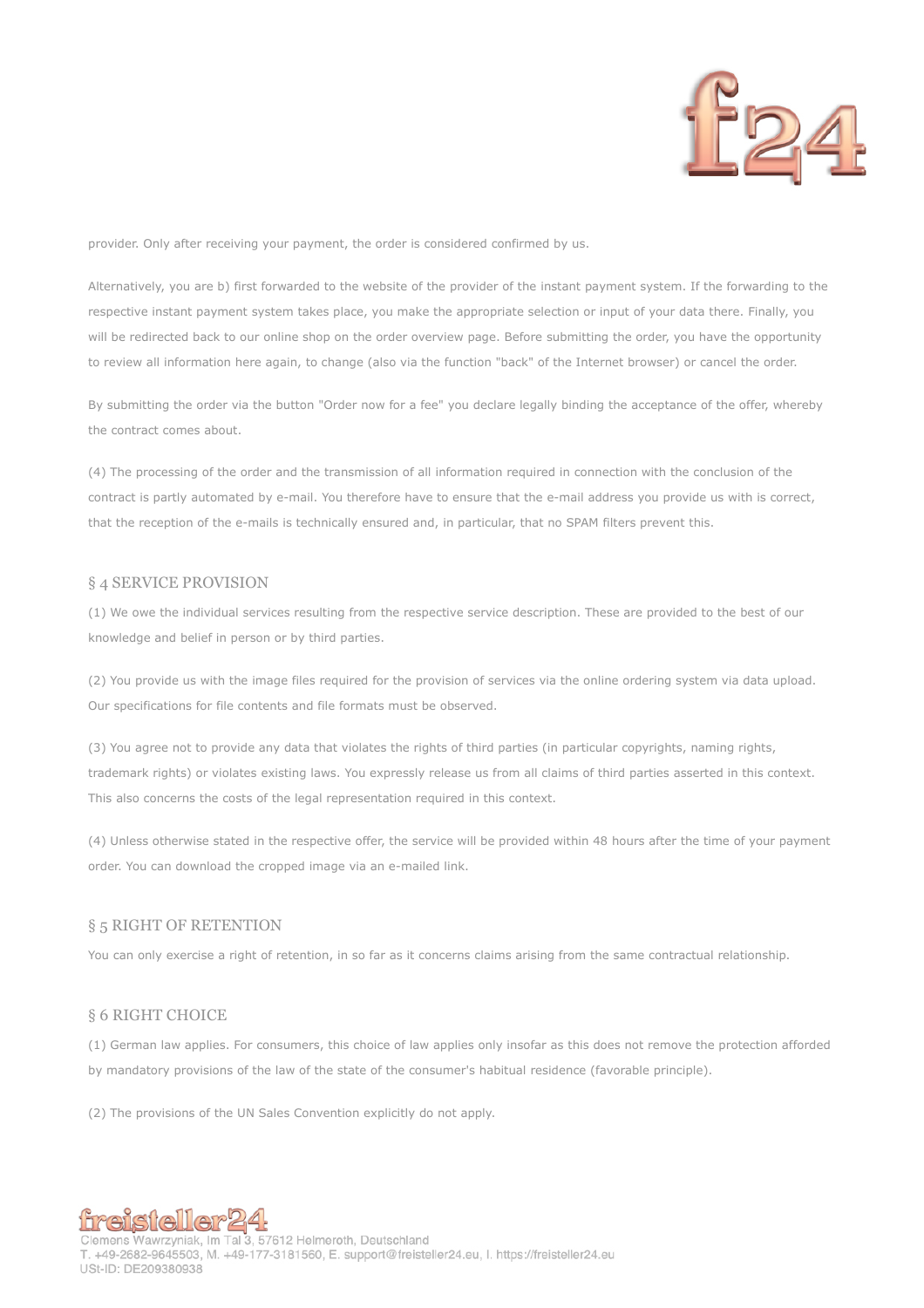

provider. Only after receiving your payment, the order is considered confirmed by us.

Alternatively, you are b) first forwarded to the website of the provider of the instant payment system. If the forwarding to the respective instant payment system takes place, you make the appropriate selection or input of your data there. Finally, you will be redirected back to our online shop on the order overview page. Before submitting the order, you have the opportunity to review all information here again, to change (also via the function "back" of the Internet browser) or cancel the order.

By submitting the order via the button "Order now for a fee" you declare legally binding the acceptance of the offer, whereby the contract comes about.

(4) The processing of the order and the transmission of all information required in connection with the conclusion of the contract is partly automated by e-mail. You therefore have to ensure that the e-mail address you provide us with is correct, that the reception of the e-mails is technically ensured and, in particular, that no SPAM filters prevent this.

#### § 4 SERVICE PROVISION

(1) We owe the individual services resulting from the respective service description. These are provided to the best of our knowledge and belief in person or by third parties.

(2) You provide us with the image files required for the provision of services via the online ordering system via data upload. Our specifications for file contents and file formats must be observed.

(3) You agree not to provide any data that violates the rights of third parties (in particular copyrights, naming rights, trademark rights) or violates existing laws. You expressly release us from all claims of third parties asserted in this context. This also concerns the costs of the legal representation required in this context.

(4) Unless otherwise stated in the respective offer, the service will be provided within 48 hours after the time of your payment order. You can download the cropped image via an e-mailed link.

# § 5 RIGHT OF RETENTION

You can only exercise a right of retention, in so far as it concerns claims arising from the same contractual relationship.

### § 6 RIGHT CHOICE

(1) German law applies. For consumers, this choice of law applies only insofar as this does not remove the protection afforded by mandatory provisions of the law of the state of the consumer's habitual residence (favorable principle).

(2) The provisions of the UN Sales Convention explicitly do not apply.

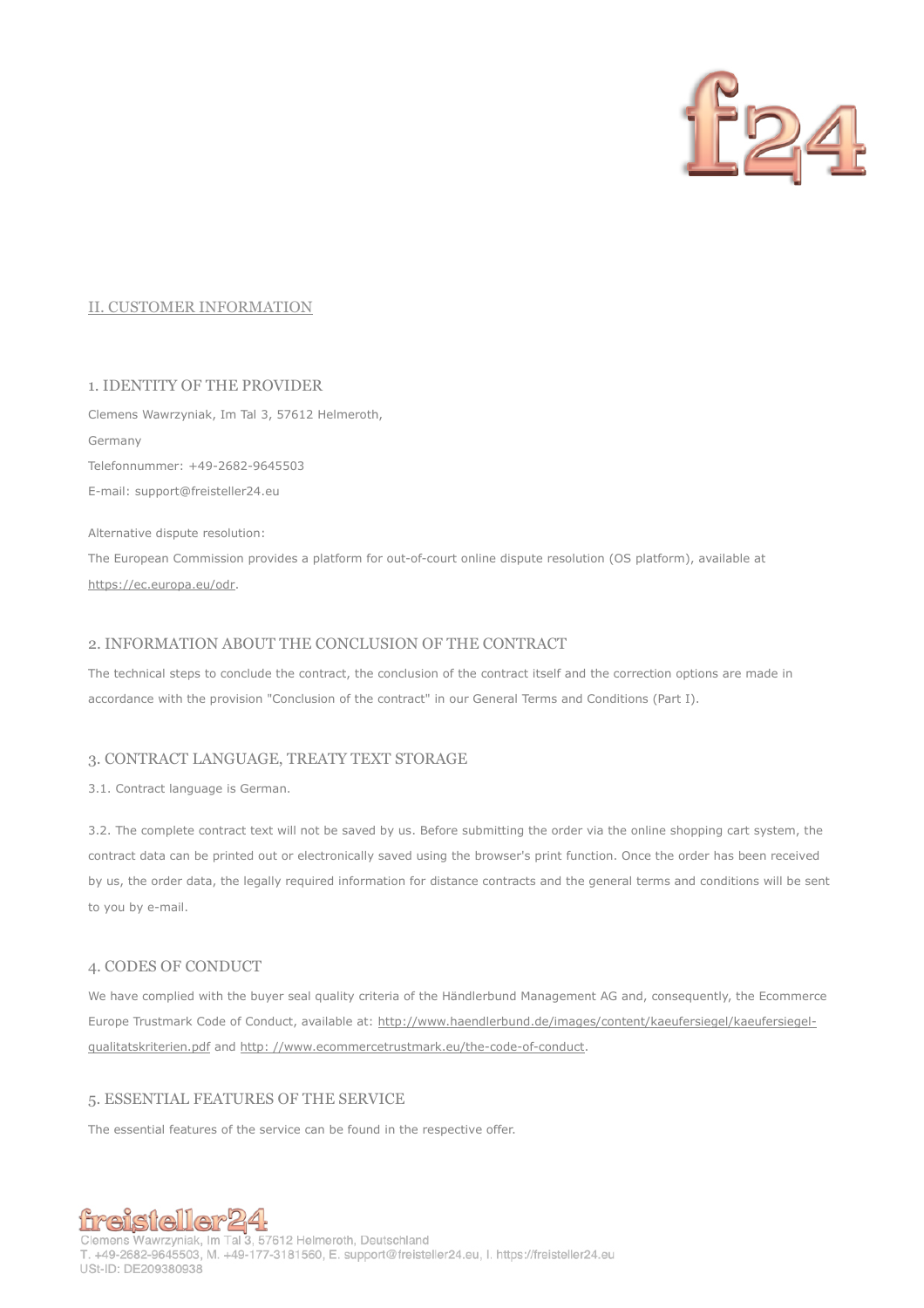

# II. CUSTOMER INFORMATION

# 1. IDENTITY OF THE PROVIDER

Clemens Wawrzyniak, Im Tal 3, 57612 Helmeroth, Germany Telefonnummer: +49-2682-9645503 E-mail: support@freisteller24.eu

Alternative dispute resolution:

The European Commission provides a platform for out-of-court online dispute resolution (OS platform), available at https://ec.europa.eu/odr.

# 2. INFORMATION ABOUT THE CONCLUSION OF THE CONTRACT

The technical steps to conclude the contract, the conclusion of the contract itself and the correction options are made in accordance with the provision "Conclusion of the contract" in our General Terms and Conditions (Part I).

## 3. CONTRACT LANGUAGE, TREATY TEXT STORAGE

3.1. Contract language is German.

3.2. The complete contract text will not be saved by us. Before submitting the order via the online shopping cart system, the contract data can be printed out or electronically saved using the browser's print function. Once the order has been received by us, the order data, the legally required information for distance contracts and the general terms and conditions will be sent to you by e-mail.

### 4. CODES OF CONDUCT

We have complied with the buyer seal quality criteria of the Händlerbund Management AG and, consequently, the Ecommerce Europe Trustmark Code of Conduct, available at: http://www.haendlerbund.de/images/content/kaeufersiegel/kaeufersiegelqualitatskriterien.pdf and http: //www.ecommercetrustmark.eu/the-code-of-conduct.

# 5. ESSENTIAL FEATURES OF THE SERVICE

The essential features of the service can be found in the respective offer.